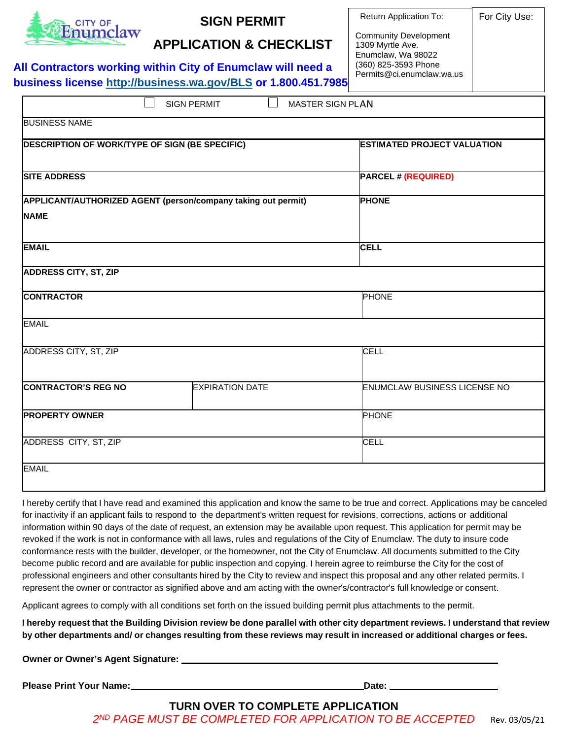

# **SIGN PERMIT**

**APPLICATION & CHECKLIST**

*Additional information may be requested during sign permit application review.* **All Contractors working within City of Enumclaw will need a business license<http://business.wa.gov/BLS> or 1.800.451.7985**

| Return Application To: |  |
|------------------------|--|
|                        |  |

For City Use:

Community Development 1309 Myrtle Ave. Enumclaw, Wa 98022 (360) 825-3593 Phone Permits@ci.enumclaw.wa.us

|                                                | <b>SIGN PERMIT</b><br>MASTER SIGN PLAN                        |                                     |
|------------------------------------------------|---------------------------------------------------------------|-------------------------------------|
| <b>BUSINESS NAME</b>                           |                                                               |                                     |
| DESCRIPTION OF WORK/TYPE OF SIGN (BE SPECIFIC) |                                                               | <b>ESTIMATED PROJECT VALUATION</b>  |
| <b>SITE ADDRESS</b>                            |                                                               | <b>PARCEL # (REQUIRED)</b>          |
|                                                | APPLICANT/AUTHORIZED AGENT (person/company taking out permit) | <b>PHONE</b>                        |
| <b>NAME</b>                                    |                                                               |                                     |
| <b>EMAIL</b>                                   |                                                               | <b>CELL</b>                         |
| <b>ADDRESS CITY, ST, ZIP</b>                   |                                                               |                                     |
| <b>CONTRACTOR</b>                              |                                                               | <b>PHONE</b>                        |
| <b>EMAIL</b>                                   |                                                               |                                     |
| ADDRESS CITY, ST, ZIP                          |                                                               | <b>CELL</b>                         |
| <b>CONTRACTOR'S REG NO</b>                     | <b>EXPIRATION DATE</b>                                        | <b>ENUMCLAW BUSINESS LICENSE NO</b> |
| <b>PROPERTY OWNER</b>                          |                                                               | <b>PHONE</b>                        |
| ADDRESS CITY, ST, ZIP                          |                                                               | <b>CELL</b>                         |
| <b>EMAIL</b>                                   |                                                               |                                     |

I hereby certify that I have read and examined this application and know the same to be true and correct. Applications may be canceled for inactivity if an applicant fails to respond to the department's written request for revisions, corrections, actions or additional information within 90 days of the date of request, an extension may be available upon request. This application for permit may be revoked if the work is not in conformance with all laws, rules and regulations of the City of Enumclaw. The duty to insure code conformance rests with the builder, developer, or the homeowner, not the City of Enumclaw. All documents submitted to the City become public record and are available for public inspection and copying. I herein agree to reimburse the City for the cost of professional engineers and other consultants hired by the City to review and inspect this proposal and any other related permits. I represent the owner or contractor as signified above and am acting with the owner's/contractor's full knowledge or consent.

Applicant agrees to comply with all conditions set forth on the issued building permit plus attachments to the permit.

I hereby request that the Building Division review be done parallel with other city department reviews. I understand that review by other departments and/ or changes resulting from these reviews may result in increased or additional charges or fees.

**Owner or Owner's Agent Signature:**

**Please Print Your Name: Date: Date: Date: Date: Date: Date: Date: Date: Date: Date: Date: Date: Date: Date: Date: Date: Date: Date: Date: Date: Date: Date: Date: Date: Dat** 

2<sup>ND</sup> PAGE MUST BE COMPLETED FOR APPLICATION TO BE ACCEPTED Rev. 03/05/21 **TURN OVER TO COMPLETE APPLICATION**